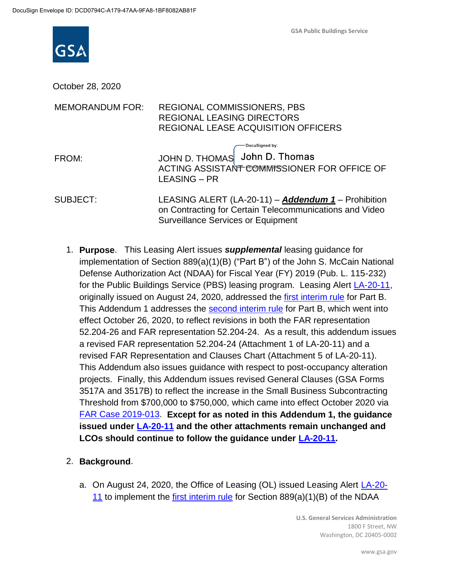

October 28, 2020

| <b>MEMORANDUM FOR:</b> | <b>REGIONAL COMMISSIONERS, PBS</b><br><b>REGIONAL LEASING DIRECTORS</b><br><b>REGIONAL LEASE ACQUISITION OFFICERS</b>                                              |
|------------------------|--------------------------------------------------------------------------------------------------------------------------------------------------------------------|
| FROM:                  | DocuSigned by:<br>JOHN D. THOMAS John D. Thomas<br>ACTING ASSISTANT COMMISSIONER FOR OFFICE OF<br><b>LEASING - PR</b>                                              |
| <b>SUBJECT:</b>        | LEASING ALERT (LA-20-11) - <b>Addendum 1</b> - Prohibition<br>on Contracting for Certain Telecommunications and Video<br><b>Surveillance Services or Equipment</b> |

- 1. **Purpose**. This Leasing Alert issues *supplemental* leasing guidance for implementation of Section 889(a)(1)(B) ("Part B") of the John S. McCain National Defense Authorization Act (NDAA) for Fiscal Year (FY) 2019 (Pub. L. 115-232) for the Public Buildings Service (PBS) leasing program. Leasing Alert [LA-20-11,](https://www.gsa.gov/cdnstatic/Real_Estate_Acquisitions/Leasing_Alert_LA-20-11_Section_889_Parts_A_and_B.pdf) originally issued on August 24, 2020, addressed the [first interim rule](https://www.federalregister.gov/documents/2020/07/14/2020-15293/federal-acquisition-regulation-prohibition-on-contracting-with-entities-using-certain) for Part B. This Addendum 1 addresses the [second interim rule](https://www.federalregister.gov/documents/2020/08/27/2020-18772/federal-acquisition-regulation-prohibition-on-contracting-with-entities-using-certain) for Part B, which went into effect October 26, 2020, to reflect revisions in both the FAR representation 52.204-26 and FAR representation 52.204-24. As a result, this addendum issues a revised FAR representation 52.204-24 (Attachment 1 of LA-20-11) and a revised FAR Representation and Clauses Chart (Attachment 5 of LA-20-11). This Addendum also issues guidance with respect to post-occupancy alteration projects. Finally, this Addendum issues revised General Clauses (GSA Forms 3517A and 3517B) to reflect the increase in the Small Business Subcontracting Threshold from \$700,000 to \$750,000, which came into effect October 2020 via [FAR Case 2019-013.](https://www.federalregister.gov/documents/2020/10/02/2020-21690/federal-acquisition-regulation-inflation-adjustment-of-acquisition-related-thresholds) **Except for as noted in this Addendum 1, the guidance issued under [LA-20-11](https://www.gsa.gov/cdnstatic/Real_Estate_Acquisitions/Leasing_Alert_LA-20-11_Section_889_Parts_A_and_B.pdf) and the other attachments remain unchanged and LCOs should continue to follow the guidance under [LA-20-11.](https://www.gsa.gov/cdnstatic/Real_Estate_Acquisitions/Leasing_Alert_LA-20-11_Section_889_Parts_A_and_B.pdf)**
- 2. **Background**.
	- a. On August 24, 2020, the Office of Leasing (OL) issued Leasing Alert [LA-20-](https://www.gsa.gov/cdnstatic/Real_Estate_Acquisitions/Leasing_Alert_LA-20-11_Section_889_Parts_A_and_B.pdf) [11](https://www.gsa.gov/cdnstatic/Real_Estate_Acquisitions/Leasing_Alert_LA-20-11_Section_889_Parts_A_and_B.pdf) to implement the [first interim rule](https://www.federalregister.gov/documents/2020/07/14/2020-15293/federal-acquisition-regulation-prohibition-on-contracting-with-entities-using-certain) for Section  $889(a)(1)(B)$  of the NDAA

**U.S. General Services Administration** 1800 F Street, NW Washington, DC 20405-0002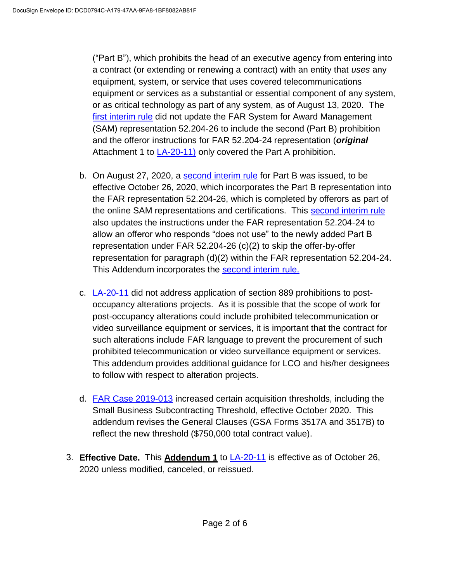("Part B"), which prohibits the head of an executive agency from entering into a contract (or extending or renewing a contract) with an entity that *uses* any equipment, system, or service that uses covered telecommunications equipment or services as a substantial or essential component of any system, or as critical technology as part of any system, as of August 13, 2020. The [first interim rule](https://www.federalregister.gov/documents/2020/07/14/2020-15293/federal-acquisition-regulation-prohibition-on-contracting-with-entities-using-certain) did not update the FAR System for Award Management (SAM) representation 52.204-26 to include the second (Part B) prohibition and the offeror instructions for FAR 52.204-24 representation (*original*  Attachment 1 to [LA-20-11\)](https://www.gsa.gov/cdnstatic/Real_Estate_Acquisitions/Leasing_Alert_LA-20-11_Section_889_Parts_A_and_B.pdf) only covered the Part A prohibition.

- b. On August 27, 2020, a [second interim rule](https://www.federalregister.gov/documents/2020/08/27/2020-18772/federal-acquisition-regulation-prohibition-on-contracting-with-entities-using-certain) for Part B was issued, to be effective October 26, 2020, which incorporates the Part B representation into the FAR representation 52.204-26, which is completed by offerors as part of the online SAM representations and certifications. This [second interim rule](https://www.federalregister.gov/documents/2020/08/27/2020-18772/federal-acquisition-regulation-prohibition-on-contracting-with-entities-using-certain) also updates the instructions under the FAR representation 52.204-24 to allow an offeror who responds "does not use" to the newly added Part B representation under FAR 52.204-26 (c)(2) to skip the offer-by-offer representation for paragraph (d)(2) within the FAR representation 52.204-24. This Addendum incorporates the **second interim rule.**
- c. [LA-20-11](https://www.gsa.gov/cdnstatic/Real_Estate_Acquisitions/Leasing_Alert_LA-20-11_Section_889_Parts_A_and_B.pdf) did not address application of section 889 prohibitions to postoccupancy alterations projects. As it is possible that the scope of work for post-occupancy alterations could include prohibited telecommunication or video surveillance equipment or services, it is important that the contract for such alterations include FAR language to prevent the procurement of such prohibited telecommunication or video surveillance equipment or services. This addendum provides additional guidance for LCO and his/her designees to follow with respect to alteration projects.
- d. [FAR Case 2019-013](https://www.federalregister.gov/documents/2020/10/02/2020-21690/federal-acquisition-regulation-inflation-adjustment-of-acquisition-related-thresholds) increased certain acquisition thresholds, including the Small Business Subcontracting Threshold, effective October 2020. This addendum revises the General Clauses (GSA Forms 3517A and 3517B) to reflect the new threshold (\$750,000 total contract value).
- 3. **Effective Date.** This **Addendum 1** to [LA-20-11](https://www.gsa.gov/cdnstatic/Real_Estate_Acquisitions/Leasing_Alert_LA-20-11_Section_889_Parts_A_and_B.pdf) is effective as of October 26, 2020 unless modified, canceled, or reissued.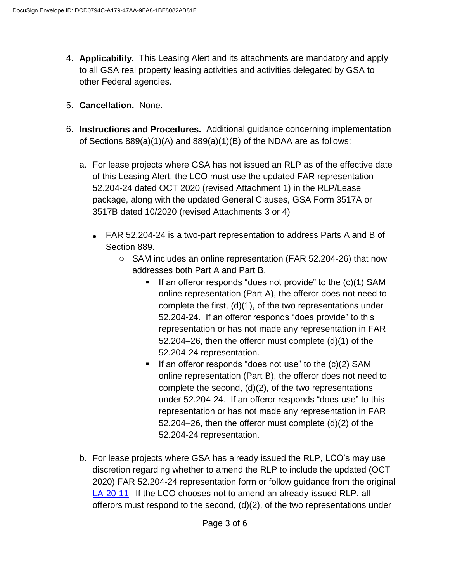- 4. **Applicability.** This Leasing Alert and its attachments are mandatory and apply to all GSA real property leasing activities and activities delegated by GSA to other Federal agencies.
- 5. **Cancellation.** None.
- 6. **Instructions and Procedures.** Additional guidance concerning implementation of Sections 889(a)(1)(A) and 889(a)(1)(B) of the NDAA are as follows:
	- a. For lease projects where GSA has not issued an RLP as of the effective date of this Leasing Alert, the LCO must use the updated FAR representation 52.204-24 dated OCT 2020 (revised Attachment 1) in the RLP/Lease package, along with the updated General Clauses, GSA Form 3517A or 3517B dated 10/2020 (revised Attachments 3 or 4)
		- FAR 52.204-24 is a two-part representation to address Parts A and B of Section 889.
			- o SAM includes an online representation (FAR 52.204-26) that now addresses both Part A and Part B.
				- If an offeror responds "does not provide" to the  $(c)(1)$  SAM online representation (Part A), the offeror does not need to complete the first, (d)(1), of the two representations under 52.204-24. If an offeror responds "does provide" to this representation or has not made any representation in FAR 52.204–26, then the offeror must complete (d)(1) of the 52.204-24 representation.
				- If an offeror responds "does not use" to the  $(c)(2)$  SAM online representation (Part B), the offeror does not need to complete the second, (d)(2), of the two representations under 52.204-24. If an offeror responds "does use" to this representation or has not made any representation in FAR 52.204–26, then the offeror must complete (d)(2) of the 52.204-24 representation.
	- b. For lease projects where GSA has already issued the RLP, LCO's may use discretion regarding whether to amend the RLP to include the updated (OCT 2020) FAR 52.204-24 representation form or follow guidance from the original [LA-20-11](https://www.gsa.gov/cdnstatic/Real_Estate_Acquisitions/Leasing_Alert_LA-20-11_Section_889_Parts_A_and_B.pdf). If the LCO chooses not to amend an already-issued RLP, all offerors must respond to the second, (d)(2), of the two representations under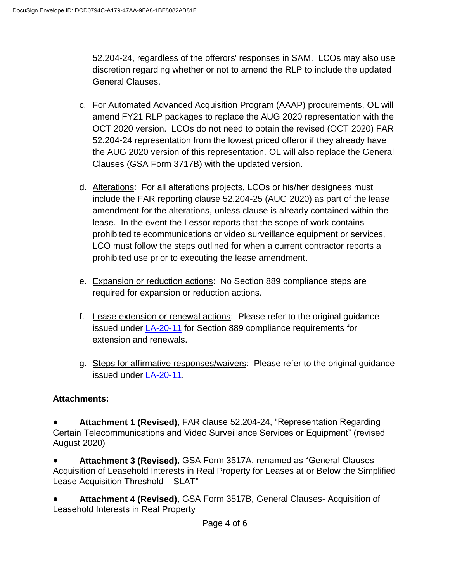52.204-24, regardless of the offerors' responses in SAM. LCOs may also use discretion regarding whether or not to amend the RLP to include the updated General Clauses.

- c. For Automated Advanced Acquisition Program (AAAP) procurements, OL will amend FY21 RLP packages to replace the AUG 2020 representation with the OCT 2020 version. LCOs do not need to obtain the revised (OCT 2020) FAR 52.204-24 representation from the lowest priced offeror if they already have the AUG 2020 version of this representation. OL will also replace the General Clauses (GSA Form 3717B) with the updated version.
- d. Alterations: For all alterations projects, LCOs or his/her designees must include the FAR reporting clause 52.204-25 (AUG 2020) as part of the lease amendment for the alterations, unless clause is already contained within the lease. In the event the Lessor reports that the scope of work contains prohibited telecommunications or video surveillance equipment or services, LCO must follow the steps outlined for when a current contractor reports a prohibited use prior to executing the lease amendment.
- e. Expansion or reduction actions: No Section 889 compliance steps are required for expansion or reduction actions.
- f. Lease extension or renewal actions: Please refer to the original guidance issued under [LA-20-11](https://www.gsa.gov/cdnstatic/Real_Estate_Acquisitions/Leasing_Alert_LA-20-11_Section_889_Parts_A_and_B.pdf) for Section 889 compliance requirements for extension and renewals.
- g. Steps for affirmative responses/waivers: Please refer to the original guidance issued under [LA-20-11.](https://www.gsa.gov/cdnstatic/Real_Estate_Acquisitions/Leasing_Alert_LA-20-11_Section_889_Parts_A_and_B.pdf)

## **Attachments:**

● **Attachment 1 (Revised)**, FAR clause 52.204-24, "Representation Regarding Certain Telecommunications and Video Surveillance Services or Equipment" (revised August 2020)

Attachment 3 (Revised), GSA Form 3517A, renamed as "General Clauses -Acquisition of Leasehold Interests in Real Property for Leases at or Below the Simplified Lease Acquisition Threshold – SLAT"

● **Attachment 4 (Revised)**, GSA Form 3517B, General Clauses- Acquisition of Leasehold Interests in Real Property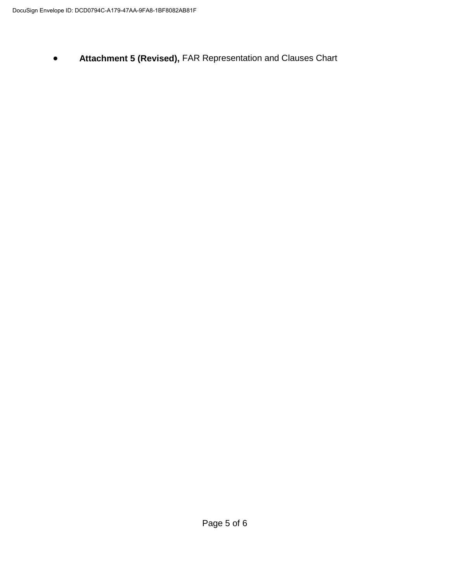● **Attachment 5 (Revised),** FAR Representation and Clauses Chart